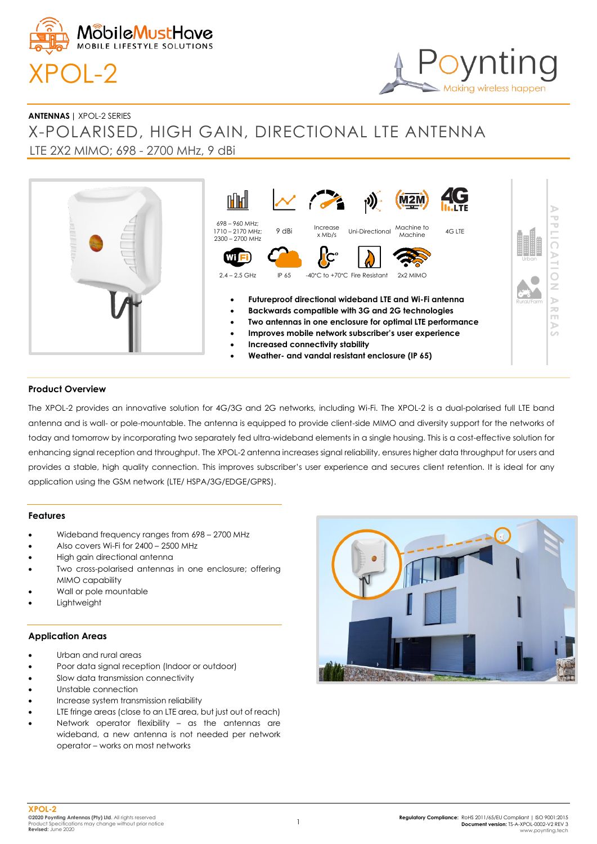

# Making wireless happen

**ANTENNAS |** XPOL-2 SERIES

## X-POLARISED, HIGH GAIN, DIRECTIONAL LTE ANTENNA LTE 2X2 MIMO; 698 - 2700 MHz, 9 dBi



#### **Product Overview**

The XPOL-2 provides an innovative solution for 4G/3G and 2G networks, including Wi-Fi. The XPOL-2 is a dual-polarised full LTE band antenna and is wall- or pole-mountable. The antenna is equipped to provide client-side MIMO and diversity support for the networks of today and tomorrow by incorporating two separately fed ultra-wideband elements in a single housing. This is a cost-effective solution for enhancing signal reception and throughput. The XPOL-2 antenna increases signal reliability, ensures higher data throughput for users and provides a stable, high quality connection. This improves subscriber's user experience and secures client retention. It is ideal for any application using the GSM network (LTE/ HSPA/3G/EDGE/GPRS).

#### **Features**

- Wideband frequency ranges from 698 2700 MHz
- Also covers Wi-Fi for 2400 2500 MHz
- High gain directional antenna
- Two cross-polarised antennas in one enclosure; offering MIMO capability
- Wall or pole mountable
- **Lightweight**

#### **Application Areas**

- Urban and rural areas
- Poor data signal reception (Indoor or outdoor)
- Slow data transmission connectivity
- Unstable connection
- Increase system transmission reliability
- LTE fringe areas (close to an LTE area, but just out of reach)
- Network operator flexibility as the antennas are wideband, a new antenna is not needed per network operator – works on most networks

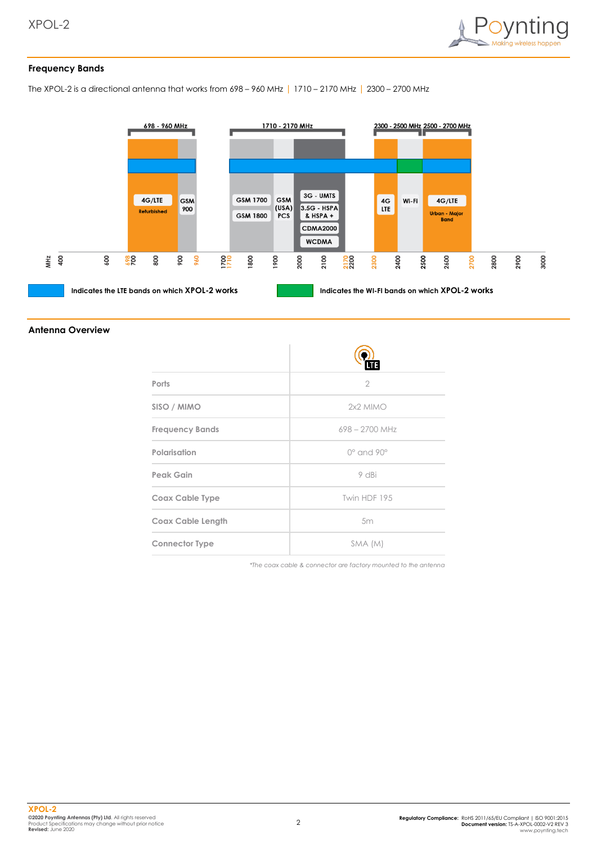

#### **Frequency Bands**

The XPOL-2 is a directional antenna that works from 698 – 960 MHz | 1710 – 2170 MHz | 2300 – 2700 MHz



#### **Antenna Overview**

| Ports                    | $\overline{2}$           |
|--------------------------|--------------------------|
| SISO / MIMO              | 2x2 MIMO                 |
| <b>Frequency Bands</b>   | 698 - 2700 MHz           |
| Polarisation             | $0^\circ$ and $90^\circ$ |
| Peak Gain                | 9 dBi                    |
| Coax Cable Type          | Twin HDF 195             |
| <b>Coax Cable Length</b> | 5m                       |
| <b>Connector Type</b>    | SMA (M)                  |

*\*The coax cable & connector are factory mounted to the antenna*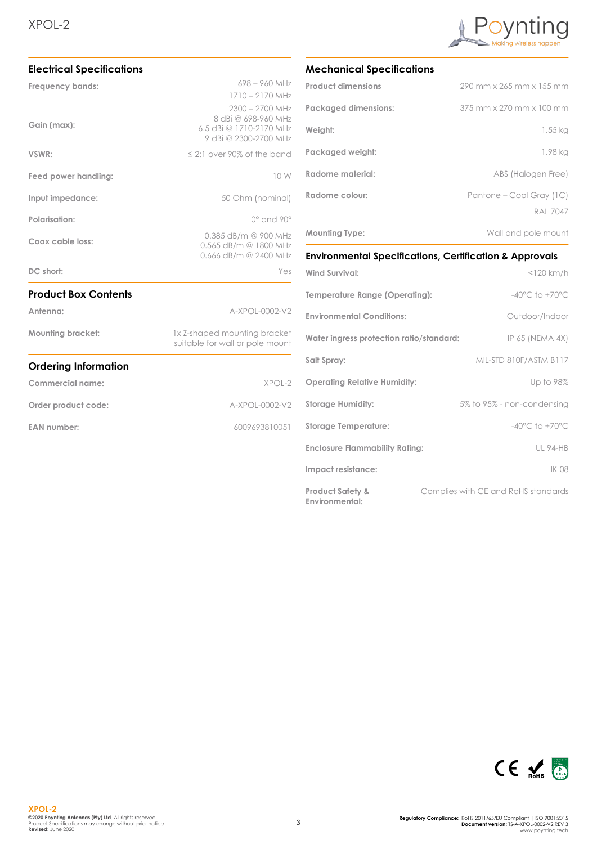

| <b>Electrical Specifications</b>         |                                                                                                                                 |                      |
|------------------------------------------|---------------------------------------------------------------------------------------------------------------------------------|----------------------|
| Frequency bands:                         | $698 - 960$ MHz                                                                                                                 |                      |
|                                          | $1710 - 2170$ MHz                                                                                                               |                      |
| Gain (max):<br>VSWR:                     | $2300 - 2700$ MHz<br>8 dBi @ 698-960 MHz<br>6.5 dBi @ 1710-2170 MHz<br>9 dBi @ 2300-2700 MHz<br>$\leq$ 2:1 over 90% of the band |                      |
|                                          |                                                                                                                                 | Feed power handling: |
| Input impedance:<br><b>Polarisation:</b> | 50 Ohm (nominal)                                                                                                                |                      |
|                                          | $0^\circ$ and $90^\circ$                                                                                                        |                      |
| Coax cable loss:                         | 0.385 dB/m @ 900 MHz<br>0.565 dB/m @ 1800 MHz<br>0.666 dB/m @ 2400 MHz                                                          |                      |
| DC short:                                | Yes                                                                                                                             |                      |
| <b>Product Box Contents</b>              |                                                                                                                                 |                      |
| Antenna:                                 | A-XPOL-0002-V2                                                                                                                  |                      |
| Mounting bracket:                        | 1x Z-shaped mounting bracket<br>suitable for wall or pole mount                                                                 |                      |
| <b>Ordering Information</b>              |                                                                                                                                 |                      |
| Commercial name:                         | XPOL-2                                                                                                                          |                      |
| Order product code:                      | A-XPOL-0002-V2                                                                                                                  |                      |
| <b>EAN number:</b>                       | 6009693810051                                                                                                                   |                      |
|                                          |                                                                                                                                 |                      |

### **Mechanical Specifications**

| <b>Product dimensions</b>   | 290 mm x 265 mm x 155 mm                    |
|-----------------------------|---------------------------------------------|
| <b>Packaged dimensions:</b> | 375 mm x 270 mm x 100 mm                    |
| Weight:                     | 1.55 kg                                     |
| Packaged weight:            | 1.98 kg                                     |
| Radome material:            | ABS (Halogen Free)                          |
| Radome colour:              | Pantone – Cool Gray (1C)<br><b>RAL 7047</b> |
| <b>Mounting Type:</b>       | Wall and pole mount                         |

## **Environmental Specifications, Certification & Approvals**

| <b>Wind Survival:</b>                                | $<$ 120 km/h                        |
|------------------------------------------------------|-------------------------------------|
| Temperature Range (Operating):                       | $-40^{\circ}$ C to $+70^{\circ}$ C  |
| <b>Environmental Conditions:</b>                     | Outdoor/Indoor                      |
| Water ingress protection ratio/standard:             | IP 65 (NEMA 4X)                     |
| Salt Spray:                                          | MIL-STD 810F/ASTM B117              |
| <b>Operating Relative Humidity:</b>                  | Up to 98%                           |
| <b>Storage Humidity:</b>                             | 5% to 95% - non-condensing          |
| <b>Storage Temperature:</b>                          | $-40^{\circ}$ C to $+70^{\circ}$ C  |
| <b>Enclosure Flammability Rating:</b>                | <b>UL 94-HB</b>                     |
| Impact resistance:                                   | IK 08                               |
| <b>Product Safety &amp;</b><br><b>Environmental:</b> | Complies with CE and RoHS standards |

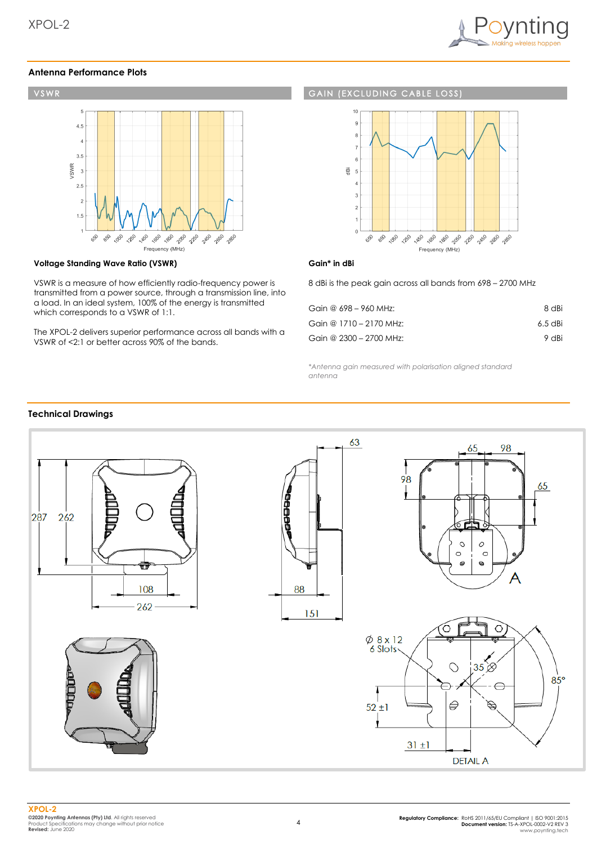

#### **Antenna Performance Plots**



#### **Voltage Standing Wave Ratio (VSWR)**

VSWR is a measure of how efficiently radio-frequency power is transmitted from a power source, through a transmission line, into a load. In an ideal system, 100% of the energy is transmitted which corresponds to a VSWR of 1:1.

The XPOL-2 delivers superior performance across all bands with a VSWR of <2:1 or better across 90% of the bands.

#### **GAIN (EXCLUDING CABLE**  $1055$



#### **Gain\* in dBi**

8 dBi is the peak gain across all bands from 698 – 2700 MHz

| Gain @ 698 – 960 MHz:   | 8 dBi   |
|-------------------------|---------|
| Gain @ 1710 - 2170 MHz: | 6.5 dBi |
| Gain @ 2300 - 2700 MHz: | 9 dBi   |

*\*Antenna gain measured with polarisation aligned standard antenna*

#### **Technical Drawings**

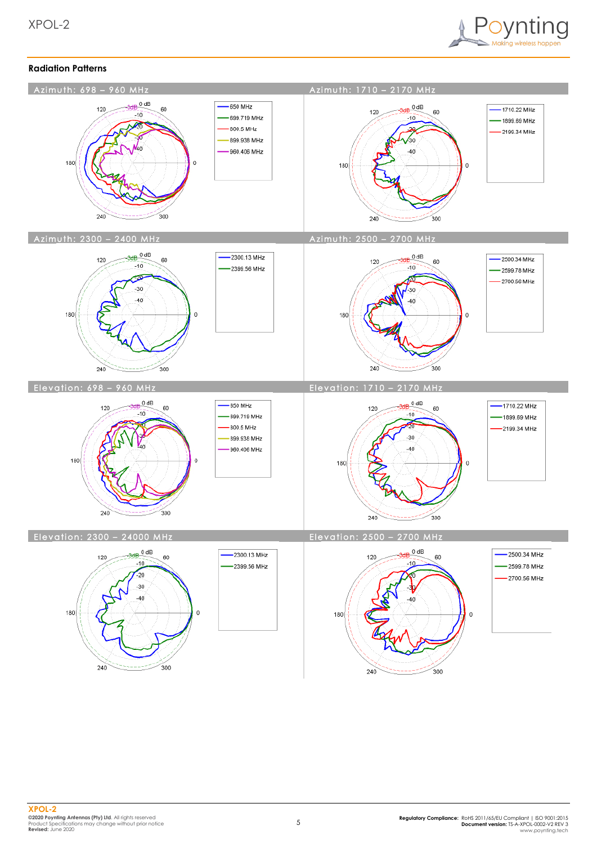

#### **Radiation Patterns**



 $240$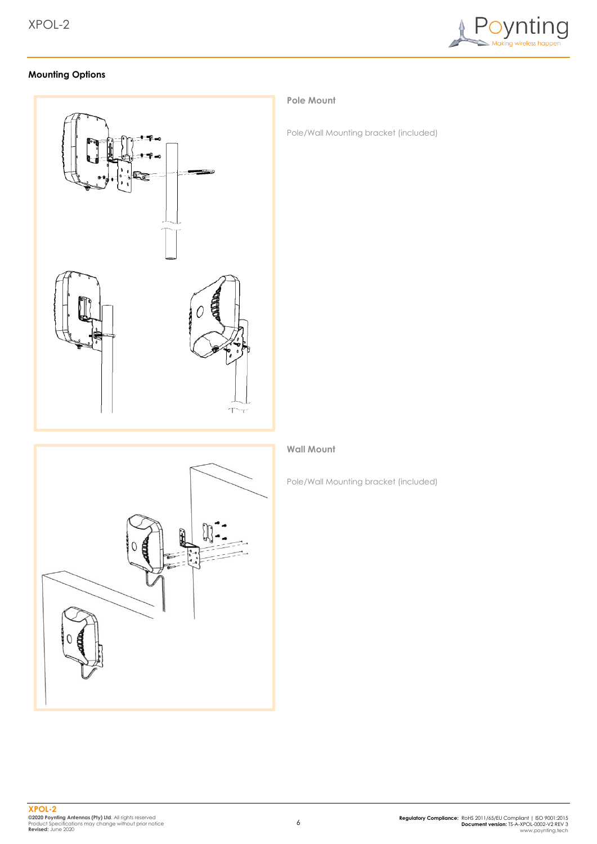

### **Mounting Options**



#### **Pole Mount**

Pole/Wall Mounting bracket (included)



#### **Wall Mount**

Pole/Wall Mounting bracket (included)